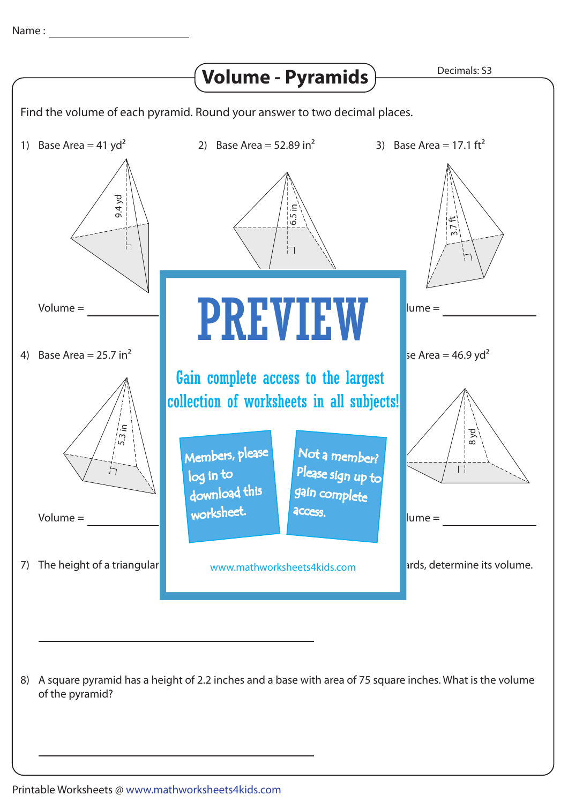